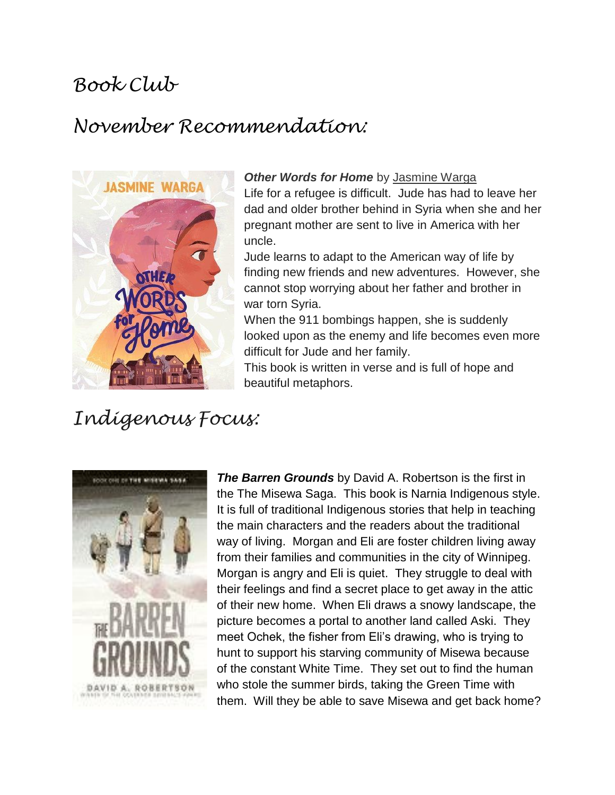### *Book Club*

# *November Recommendation:*



#### *Other Words for Home* by [Jasmine Warga](https://www.goodreads.com/author/show/7224009.Jasmine_Warga)

Life for a refugee is difficult. Jude has had to leave her dad and older brother behind in Syria when she and her pregnant mother are sent to live in America with her uncle.

Jude learns to adapt to the American way of life by finding new friends and new adventures. However, she cannot stop worrying about her father and brother in war torn Syria.

When the 911 bombings happen, she is suddenly looked upon as the enemy and life becomes even more difficult for Jude and her family.

This book is written in verse and is full of hope and beautiful metaphors.

## *Indigenous Focus:*



*The Barren Grounds* by David A. Robertson is the first in the The Misewa Saga. This book is Narnia Indigenous style. It is full of traditional Indigenous stories that help in teaching the main characters and the readers about the traditional way of living. Morgan and Eli are foster children living away from their families and communities in the city of Winnipeg. Morgan is angry and Eli is quiet. They struggle to deal with their feelings and find a secret place to get away in the attic of their new home. When Eli draws a snowy landscape, the picture becomes a portal to another land called Aski. They meet Ochek, the fisher from Eli's drawing, who is trying to hunt to support his starving community of Misewa because of the constant White Time. They set out to find the human who stole the summer birds, taking the Green Time with them. Will they be able to save Misewa and get back home?